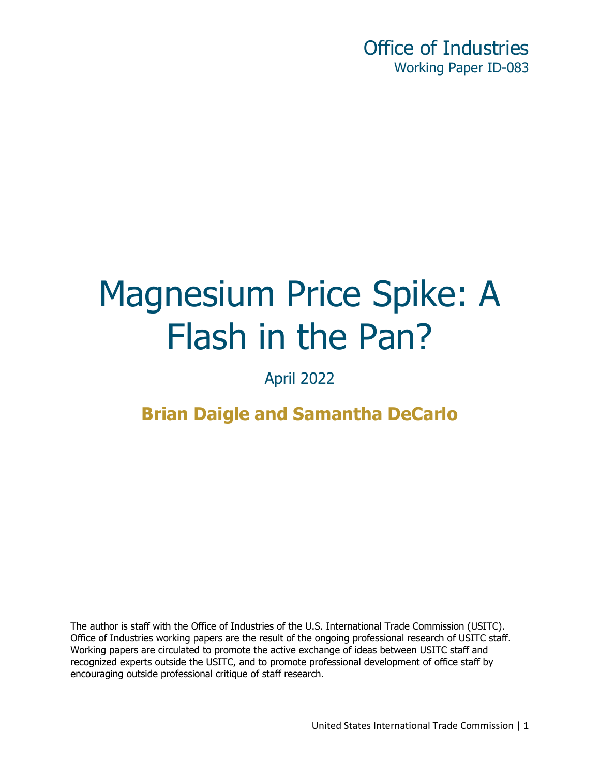# Magnesium Price Spike: A Flash in the Pan?

April 2022

**Brian Daigle and Samantha DeCarlo** 

The author is staff with the Office of Industries of the U.S. International Trade Commission (USITC). Office of Industries working papers are the result of the ongoing professional research of USITC staff. Working papers are circulated to promote the active exchange of ideas between USITC staff and recognized experts outside the USITC, and to promote professional development of office staff by encouraging outside professional critique of staff research.

United States International Trade Commission | 1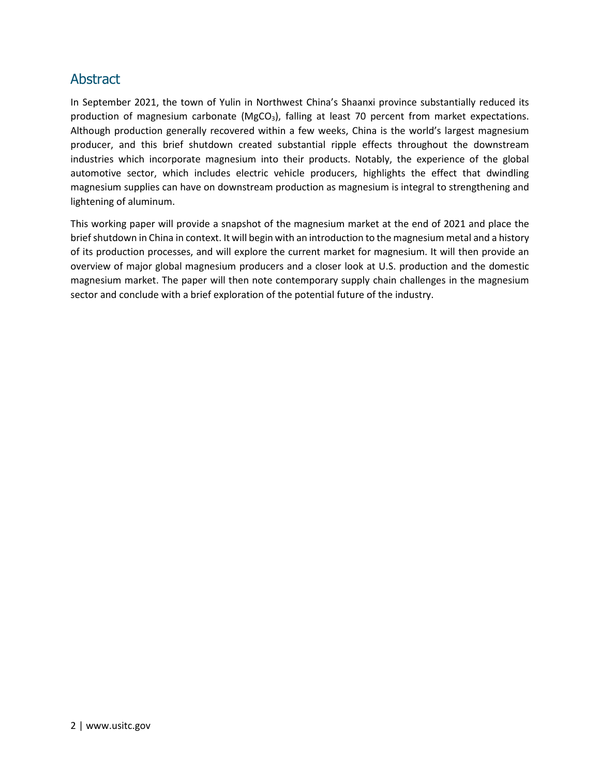#### Abstract

In September 2021, the town of Yulin in Northwest China's Shaanxi province substantially reduced its production of magnesium carbonate ( $MgCO<sub>3</sub>$ ), falling at least 70 percent from market expectations. Although production generally recovered within a few weeks, China is the world's largest magnesium producer, and this brief shutdown created substantial ripple effects throughout the downstream industries which incorporate magnesium into their products. Notably, the experience of the global automotive sector, which includes electric vehicle producers, highlights the effect that dwindling magnesium supplies can have on downstream production as magnesium is integral to strengthening and lightening of aluminum.

This working paper will provide a snapshot of the magnesium market at the end of 2021 and place the brief shutdown in China in context. It will begin with an introduction to the magnesium metal and a history of its production processes, and will explore the current market for magnesium. It will then provide an overview of major global magnesium producers and a closer look at U.S. production and the domestic magnesium market. The paper will then note contemporary supply chain challenges in the magnesium sector and conclude with a brief exploration of the potential future of the industry.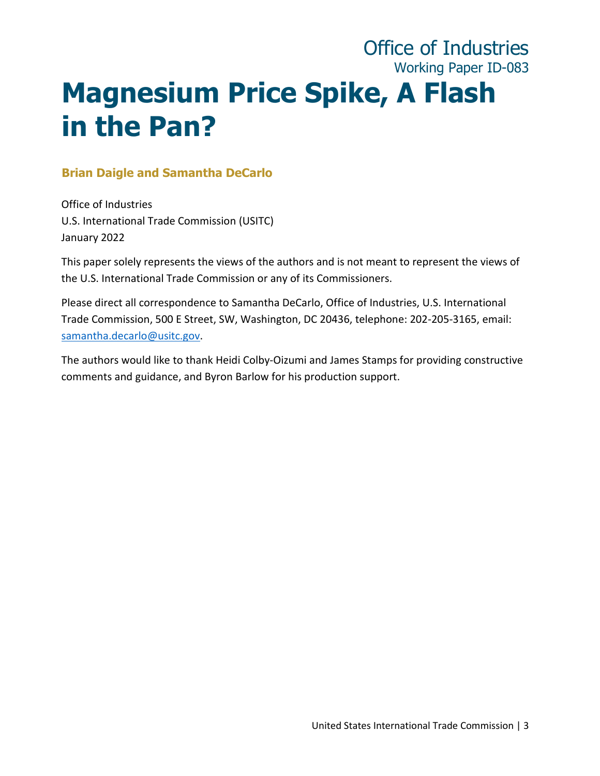## Office of Industries Working Paper ID-083 **Magnesium Price Spike, A Flash in the Pan?**

#### **Brian Daigle and Samantha DeCarlo**

Office of Industries U.S. International Trade Commission (USITC) January 2022

This paper solely represents the views of the authors and is not meant to represent the views of the U.S. International Trade Commission or any of its Commissioners.

Please direct all correspondence to Samantha DeCarlo, Office of Industries, U.S. International Trade Commission, 500 E Street, SW, Washington, DC 20436, telephone: 202-205-3165, email: [samantha.decarlo@usitc.gov.](mailto:Samantha.decarlo@usitc.gov)

The authors would like to thank Heidi Colby-Oizumi and James Stamps for providing constructive comments and guidance, and Byron Barlow for his production support.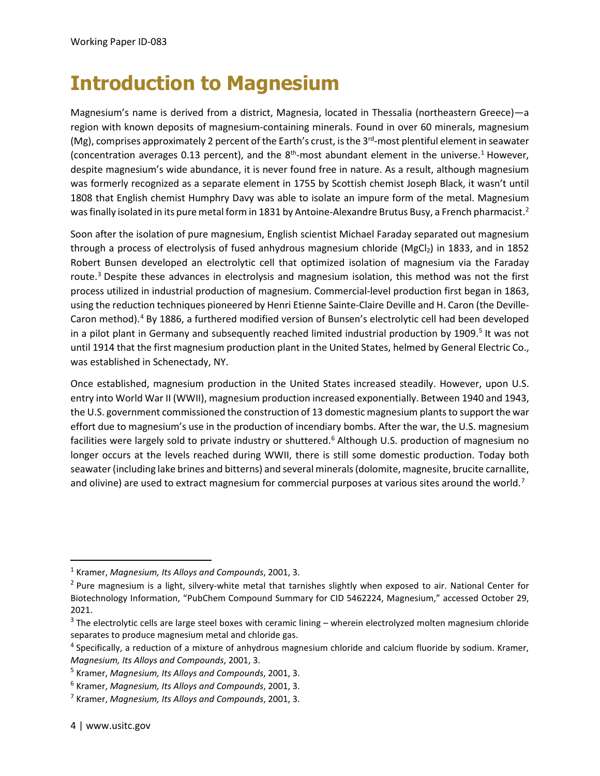## **Introduction to Magnesium**

Magnesium's name is derived from a district, Magnesia, located in Thessalia (northeastern Greece)—a region with known deposits of magnesium-containing minerals. Found in over 60 minerals, magnesium (Mg), comprises approximately 2 percent of the Earth's crust, is the  $3<sup>rd</sup>$ -most plentiful element in seawater (concentration averages 0.[1](#page-3-0)3 percent), and the  $8<sup>th</sup>$ -most abundant element in the universe.<sup>1</sup> However, despite magnesium's wide abundance, it is never found free in nature. As a result, although magnesium was formerly recognized as a separate element in 1755 by Scottish chemist Joseph Black, it wasn't until 1808 that English chemist Humphry Davy was able to isolate an impure form of the metal. Magnesium was finally isolated in its pure metal form in 1831 by Antoine-Alexandre Brutus Busy, a French pharmacist.<sup>[2](#page-3-1)</sup>

Soon after the isolation of pure magnesium, English scientist Michael Faraday separated out magnesium through a process of electrolysis of fused anhydrous magnesium chloride (MgCl<sub>2</sub>) in 1833, and in 1852 Robert Bunsen developed an electrolytic cell that optimized isolation of magnesium via the Faraday route.<sup>[3](#page-3-2)</sup> Despite these advances in electrolysis and magnesium isolation, this method was not the first process utilized in industrial production of magnesium. Commercial-level production first began in 1863, using the reduction techniques pioneered by Henri Etienne Sainte-Claire Deville and H. Caron (the Deville-Caron method).<sup>[4](#page-3-3)</sup> By 1886, a furthered modified version of Bunsen's electrolytic cell had been developed in a pilot plant in Germany and subsequently reached limited industrial production by 1909.<sup>[5](#page-3-4)</sup> It was not until 1914 that the first magnesium production plant in the United States, helmed by General Electric Co., was established in Schenectady, NY.

Once established, magnesium production in the United States increased steadily. However, upon U.S. entry into World War II (WWII), magnesium production increased exponentially. Between 1940 and 1943, the U.S. government commissioned the construction of 13 domestic magnesium plants to support the war effort due to magnesium's use in the production of incendiary bombs. After the war, the U.S. magnesium facilities were largely sold to private industry or shuttered.<sup>[6](#page-3-5)</sup> Although U.S. production of magnesium no longer occurs at the levels reached during WWII, there is still some domestic production. Today both seawater (including lake brines and bitterns) and several minerals (dolomite, magnesite, brucite carnallite, and olivine) are used to extract magnesium for commercial purposes at various sites around the world.<sup>[7](#page-3-6)</sup>

<span id="page-3-0"></span><sup>1</sup> Kramer, *Magnesium, Its Alloys and Compounds*, 2001, 3.

<span id="page-3-1"></span> $2$  Pure magnesium is a light, silvery-white metal that tarnishes slightly when exposed to air. National Center for Biotechnology Information, "PubChem Compound Summary for CID 5462224, Magnesium," accessed October 29, 2021.

<span id="page-3-2"></span> $3$  The electrolytic cells are large steel boxes with ceramic lining – wherein electrolyzed molten magnesium chloride separates to produce magnesium metal and chloride gas.

<span id="page-3-3"></span><sup>&</sup>lt;sup>4</sup> Specifically, a reduction of a mixture of anhydrous magnesium chloride and calcium fluoride by sodium. Kramer, *Magnesium, Its Alloys and Compounds*, 2001, 3.

<span id="page-3-4"></span><sup>5</sup> Kramer, *Magnesium, Its Alloys and Compounds*, 2001, 3.

<span id="page-3-5"></span><sup>6</sup> Kramer, *Magnesium, Its Alloys and Compounds*, 2001, 3.

<span id="page-3-6"></span><sup>7</sup> Kramer, *Magnesium, Its Alloys and Compounds*, 2001, 3.

<sup>4 |</sup> www.usitc.gov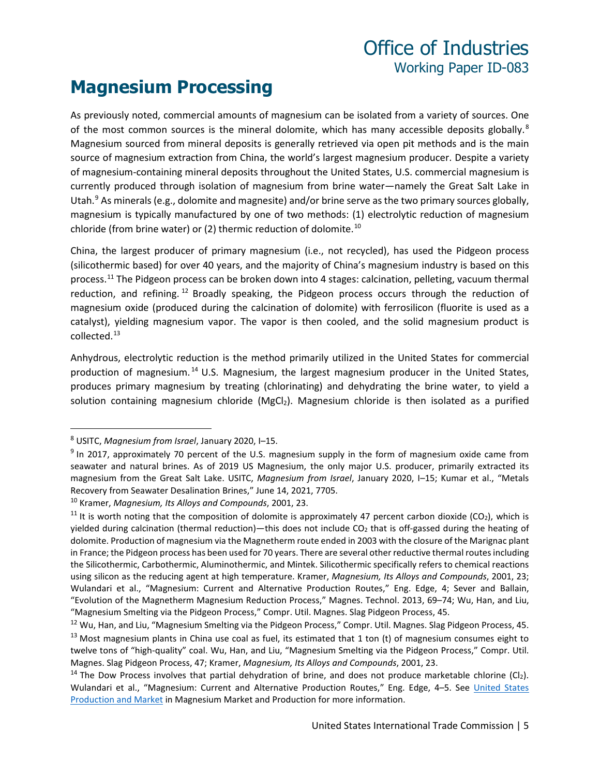#### **Magnesium Processing**

As previously noted, commercial amounts of magnesium can be isolated from a variety of sources. One of the most common sources is the mineral dolomite, which has many accessible deposits globally.<sup>[8](#page-4-0)</sup> Magnesium sourced from mineral deposits is generally retrieved via open pit methods and is the main source of magnesium extraction from China, the world's largest magnesium producer. Despite a variety of magnesium-containing mineral deposits throughout the United States, U.S. commercial magnesium is currently produced through isolation of magnesium from brine water—namely the Great Salt Lake in Utah. $9$  As minerals (e.g., dolomite and magnesite) and/or brine serve as the two primary sources globally, magnesium is typically manufactured by one of two methods: (1) electrolytic reduction of magnesium chloride (from brine water) or (2) thermic reduction of dolomite. [10](#page-4-2) 

China, the largest producer of primary magnesium (i.e., not recycled), has used the Pidgeon process (silicothermic based) for over 40 years, and the majority of China's magnesium industry is based on this process[.11](#page-4-3) The Pidgeon process can be broken down into 4 stages: calcination, pelleting, vacuum thermal reduction, and refining.<sup>[12](#page-4-4)</sup> Broadly speaking, the Pidgeon process occurs through the reduction of magnesium oxide (produced during the calcination of dolomite) with ferrosilicon (fluorite is used as a catalyst), yielding magnesium vapor. The vapor is then cooled, and the solid magnesium product is collected.[13](#page-4-5) 

Anhydrous, electrolytic reduction is the method primarily utilized in the United States for commercial production of magnesium. [14](#page-4-6) U.S. Magnesium, the largest magnesium producer in the United States, produces primary magnesium by treating (chlorinating) and dehydrating the brine water, to yield a solution containing magnesium chloride  $(MgCl<sub>2</sub>)$ . Magnesium chloride is then isolated as a purified

<span id="page-4-0"></span><sup>8</sup> USITC, *Magnesium from Israel*, January 2020, I–15.

<span id="page-4-1"></span> $9$  In 2017, approximately 70 percent of the U.S. magnesium supply in the form of magnesium oxide came from seawater and natural brines. As of 2019 US Magnesium, the only major U.S. producer, primarily extracted its magnesium from the Great Salt Lake. USITC, *Magnesium from Israel*, January 2020, I–15; Kumar et al., "Metals Recovery from Seawater Desalination Brines," June 14, 2021, 7705.

<span id="page-4-2"></span><sup>10</sup> Kramer, *Magnesium, Its Alloys and Compounds*, 2001, 23.

<span id="page-4-3"></span><sup>&</sup>lt;sup>11</sup> It is worth noting that the composition of dolomite is approximately 47 percent carbon dioxide (CO<sub>2</sub>), which is yielded during calcination (thermal reduction)—this does not include CO<sub>2</sub> that is off-gassed during the heating of dolomite. Production of magnesium via the Magnetherm route ended in 2003 with the closure of the Marignac plant in France; the Pidgeon process has been used for 70 years. There are several other reductive thermal routes including the Silicothermic, Carbothermic, Aluminothermic, and Mintek. Silicothermic specifically refers to chemical reactions using silicon as the reducing agent at high temperature. Kramer, *Magnesium, Its Alloys and Compounds*, 2001, 23; Wulandari et al., "Magnesium: Current and Alternative Production Routes," Eng. Edge, 4; Sever and Ballain, "Evolution of the Magnetherm Magnesium Reduction Process," Magnes. Technol. 2013, 69–74; Wu, Han, and Liu, "Magnesium Smelting via the Pidgeon Process," Compr. Util. Magnes. Slag Pidgeon Process, 45.

<span id="page-4-5"></span><span id="page-4-4"></span><sup>&</sup>lt;sup>12</sup> Wu, Han, and Liu, "Magnesium Smelting via the Pidgeon Process," Compr. Util. Magnes. Slag Pidgeon Process, 45.  $13$  Most magnesium plants in China use coal as fuel, its estimated that 1 ton (t) of magnesium consumes eight to twelve tons of "high-quality" coal. Wu, Han, and Liu, "Magnesium Smelting via the Pidgeon Process," Compr. Util. Magnes. Slag Pidgeon Process, 47; Kramer, *Magnesium, Its Alloys and Compounds*, 2001, 23.

<span id="page-4-6"></span><sup>&</sup>lt;sup>14</sup> The Dow Process involves that partial dehydration of brine, and does not produce marketable chlorine (Cl<sub>2</sub>). Wulandari et al., "Magnesium: Current and Alternative Production Routes," Eng. Edge, 4–5. See [United States](#page-7-0)  [Production and Market](#page-7-0) in Magnesium Market and Production for more information.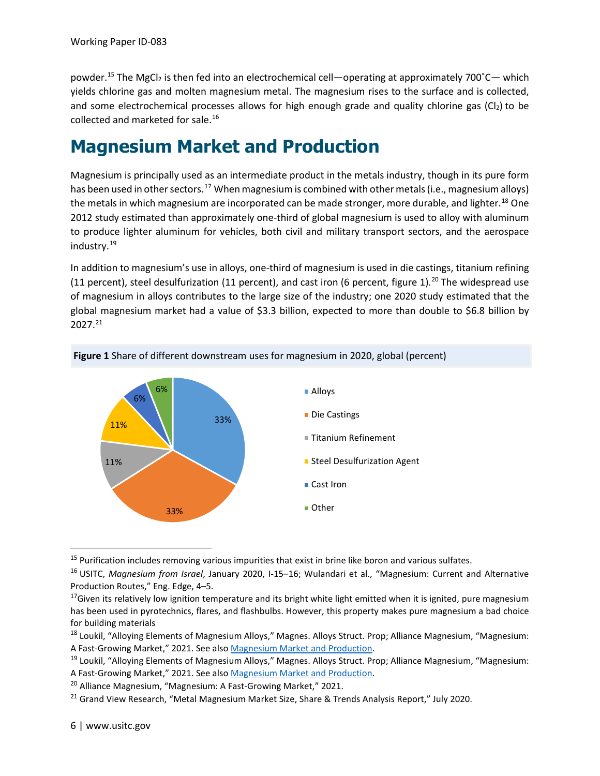powder.<sup>[15](#page-5-1)</sup> The MgCl<sub>2</sub> is then fed into an electrochemical cell—operating at approximately 700°C— which yields chlorine gas and molten magnesium metal. The magnesium rises to the surface and is collected, and some electrochemical processes allows for high enough grade and quality chlorine gas  $(Cl<sub>2</sub>)$  to be collected and marketed for sale.[16](#page-5-2)

### <span id="page-5-0"></span>**Magnesium Market and Production**

Magnesium is principally used as an intermediate product in the metals industry, though in its pure form has been used in other sectors.<sup>[17](#page-5-3)</sup> When magnesium is combined with other metals (i.e., magnesium alloys) the metals in which magnesium are incorporated can be made stronger, more durable, and lighter.<sup>[18](#page-5-4)</sup> One 2012 study estimated than approximately one-third of global magnesium is used to alloy with aluminum to produce lighter aluminum for vehicles, both civil and military transport sectors, and the aerospace industry.[19](#page-5-5)

In addition to magnesium's use in alloys, one-third of magnesium is used in die castings, titanium refining (11 percent), steel desulfurization (11 percent), and cast iron (6 percent, figure 1).<sup>[20](#page-5-6)</sup> The widespread use of magnesium in alloys contributes to the large size of the industry; one 2020 study estimated that the global magnesium market had a value of \$3.3 billion, expected to more than double to \$6.8 billion by 2027.[21](#page-5-7)





<span id="page-5-1"></span><sup>&</sup>lt;sup>15</sup> Purification includes removing various impurities that exist in brine like boron and various sulfates.

<span id="page-5-2"></span><sup>16</sup> USITC, *Magnesium from Israel*, January 2020, I-15–16; Wulandari et al., "Magnesium: Current and Alternative Production Routes," Eng. Edge, 4–5.

<span id="page-5-3"></span> $17$  Given its relatively low ignition temperature and its bright white light emitted when it is ignited, pure magnesium has been used in pyrotechnics, flares, and flashbulbs. However, this property makes pure magnesium a bad choice for building materials

<span id="page-5-4"></span><sup>&</sup>lt;sup>18</sup> Loukil, "Alloying Elements of Magnesium Alloys," Magnes. Alloys Struct. Prop; Alliance Magnesium, "Magnesium: A Fast-Growing Market," 2021. See also *Magnesium Market and Production*.<br><sup>19</sup> Loukil, "Alloying Elements of Magnesium Alloys," Magnes. Alloys Struct. Prop; Alliance Magnesium, "Magnesium:

<span id="page-5-5"></span>A Fast-Growing Market," 2021. See als[o Magnesium Market and Production.](#page-5-0)<br><sup>20</sup> Alliance Magnesium, "Magnesium: A Fast-Growing Market," 2021.

<span id="page-5-6"></span>

<span id="page-5-7"></span><sup>&</sup>lt;sup>21</sup> Grand View Research, "Metal Magnesium Market Size, Share & Trends Analysis Report," July 2020.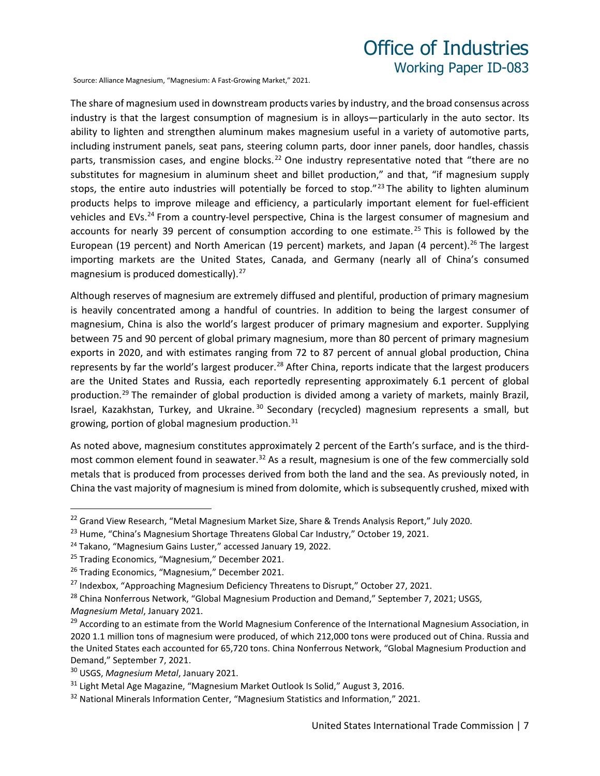Source: Alliance Magnesium, "Magnesium: A Fast-Growing Market," 2021.

The share of magnesium used in downstream products varies by industry, and the broad consensus across industry is that the largest consumption of magnesium is in alloys—particularly in the auto sector. Its ability to lighten and strengthen aluminum makes magnesium useful in a variety of automotive parts, including instrument panels, seat pans, steering column parts, door inner panels, door handles, chassis parts, transmission cases, and engine blocks.<sup>[22](#page-6-0)</sup> One industry representative noted that "there are no substitutes for magnesium in aluminum sheet and billet production," and that, "if magnesium supply stops, the entire auto industries will potentially be forced to stop."<sup>[23](#page-6-1)</sup> The ability to lighten aluminum products helps to improve mileage and efficiency, a particularly important element for fuel-efficient vehicles and EVs.<sup>[24](#page-6-2)</sup> From a country-level perspective, China is the largest consumer of magnesium and accounts for nearly 39 percent of consumption according to one estimate.<sup>[25](#page-6-3)</sup> This is followed by the European (19 percent) and North American (19 percent) markets, and Japan (4 percent).<sup>[26](#page-6-4)</sup> The largest importing markets are the United States, Canada, and Germany (nearly all of China's consumed magnesium is produced domestically). $27$ 

Although reserves of magnesium are extremely diffused and plentiful, production of primary magnesium is heavily concentrated among a handful of countries. In addition to being the largest consumer of magnesium, China is also the world's largest producer of primary magnesium and exporter. Supplying between 75 and 90 percent of global primary magnesium, more than 80 percent of primary magnesium exports in 2020, and with estimates ranging from 72 to 87 percent of annual global production, China represents by far the world's largest producer.<sup>28</sup> After China, reports indicate that the largest producers are the United States and Russia, each reportedly representing approximately 6.1 percent of global production.[29](#page-6-7) The remainder of global production is divided among a variety of markets, mainly Brazil, Israel, Kazakhstan, Turkey, and Ukraine.<sup>[30](#page-6-8)</sup> Secondary (recycled) magnesium represents a small, but growing, portion of global magnesium production. $31$ 

As noted above, magnesium constitutes approximately 2 percent of the Earth's surface, and is the third-most common element found in seawater.<sup>[32](#page-6-10)</sup> As a result, magnesium is one of the few commercially sold metals that is produced from processes derived from both the land and the sea. As previously noted, in China the vast majority of magnesium is mined from dolomite, which is subsequently crushed, mixed with

<span id="page-6-0"></span><sup>&</sup>lt;sup>22</sup> Grand View Research, "Metal Magnesium Market Size, Share & Trends Analysis Report," July 2020.

<span id="page-6-1"></span><sup>&</sup>lt;sup>23</sup> Hume, "China's Magnesium Shortage Threatens Global Car Industry," October 19, 2021.

<span id="page-6-2"></span><sup>&</sup>lt;sup>24</sup> Takano, "Magnesium Gains Luster," accessed January 19, 2022.

<span id="page-6-3"></span><sup>&</sup>lt;sup>25</sup> Trading Economics, "Magnesium," December 2021.

<span id="page-6-4"></span><sup>&</sup>lt;sup>26</sup> Trading Economics, "Magnesium," December 2021.

<span id="page-6-5"></span> $27$  Indexbox, "Approaching Magnesium Deficiency Threatens to Disrupt," October 27, 2021.

<span id="page-6-6"></span><sup>&</sup>lt;sup>28</sup> China Nonferrous Network, "Global Magnesium Production and Demand," September 7, 2021; USGS, *Magnesium Metal*, January 2021.

<span id="page-6-7"></span><sup>&</sup>lt;sup>29</sup> According to an estimate from the World Magnesium Conference of the International Magnesium Association, in 2020 1.1 million tons of magnesium were produced, of which 212,000 tons were produced out of China. Russia and the United States each accounted for 65,720 tons. China Nonferrous Network, "Global Magnesium Production and Demand," September 7, 2021.

<span id="page-6-8"></span><sup>30</sup> USGS, *Magnesium Metal*, January 2021.

<span id="page-6-9"></span><sup>&</sup>lt;sup>31</sup> Light Metal Age Magazine, "Magnesium Market Outlook Is Solid," August 3, 2016.

<span id="page-6-10"></span> $32$  National Minerals Information Center, "Magnesium Statistics and Information," 2021.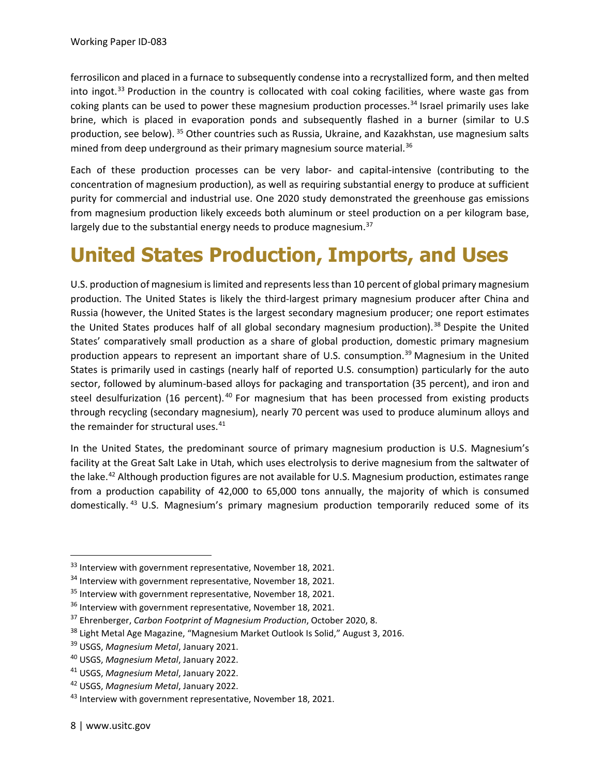ferrosilicon and placed in a furnace to subsequently condense into a recrystallized form, and then melted into ingot.<sup>[33](#page-7-1)</sup> Production in the country is collocated with coal coking facilities, where waste gas from coking plants can be used to power these magnesium production processes.<sup>[34](#page-7-2)</sup> Israel primarily uses lake brine, which is placed in evaporation ponds and subsequently flashed in a burner (similar to U.S production, see below). [35](#page-7-3) Other countries such as Russia, Ukraine, and Kazakhstan, use magnesium salts mined from deep underground as their primary magnesium source material.<sup>[36](#page-7-4)</sup>

Each of these production processes can be very labor- and capital-intensive (contributing to the concentration of magnesium production), as well as requiring substantial energy to produce at sufficient purity for commercial and industrial use. One 2020 study demonstrated the greenhouse gas emissions from magnesium production likely exceeds both aluminum or steel production on a per kilogram base, largely due to the substantial energy needs to produce magnesium. $37$ 

## <span id="page-7-0"></span>**United States Production, Imports, and Uses**

U.S. production of magnesium is limited and represents less than 10 percent of global primary magnesium production. The United States is likely the third-largest primary magnesium producer after China and Russia (however, the United States is the largest secondary magnesium producer; one report estimates the United States produces half of all global secondary magnesium production). $38$  Despite the United States' comparatively small production as a share of global production, domestic primary magnesium production appears to represent an important share of U.S. consumption.<sup>[39](#page-7-7)</sup> Magnesium in the United States is primarily used in castings (nearly half of reported U.S. consumption) particularly for the auto sector, followed by aluminum-based alloys for packaging and transportation (35 percent), and iron and steel desulfurization (16 percent).<sup>[40](#page-7-8)</sup> For magnesium that has been processed from existing products through recycling (secondary magnesium), nearly 70 percent was used to produce aluminum alloys and the remainder for structural uses.<sup>[41](#page-7-9)</sup>

In the United States, the predominant source of primary magnesium production is U.S. Magnesium's facility at the Great Salt Lake in Utah, which uses electrolysis to derive magnesium from the saltwater of the lake.<sup>[42](#page-7-10)</sup> Although production figures are not available for U.S. Magnesium production, estimates range from a production capability of 42,000 to 65,000 tons annually, the majority of which is consumed domestically. [43](#page-7-11) U.S. Magnesium's primary magnesium production temporarily reduced some of its

<span id="page-7-1"></span><sup>&</sup>lt;sup>33</sup> Interview with government representative, November 18, 2021.

<span id="page-7-2"></span><sup>&</sup>lt;sup>34</sup> Interview with government representative, November 18, 2021.

<span id="page-7-3"></span><sup>&</sup>lt;sup>35</sup> Interview with government representative, November 18, 2021.

<span id="page-7-4"></span><sup>&</sup>lt;sup>36</sup> Interview with government representative, November 18, 2021.

<span id="page-7-5"></span><sup>37</sup> Ehrenberger, *Carbon Footprint of Magnesium Production*, October 2020, 8.

<span id="page-7-6"></span><sup>&</sup>lt;sup>38</sup> Light Metal Age Magazine, "Magnesium Market Outlook Is Solid," August 3, 2016.

<span id="page-7-7"></span><sup>39</sup> USGS, *Magnesium Metal*, January 2021.

<span id="page-7-8"></span><sup>40</sup> USGS, *Magnesium Metal*, January 2022.

<span id="page-7-9"></span><sup>41</sup> USGS, *Magnesium Metal*, January 2022.

<span id="page-7-10"></span><sup>42</sup> USGS, *Magnesium Metal*, January 2022.

<span id="page-7-11"></span> $43$  Interview with government representative, November 18, 2021.

<sup>8 |</sup> www.usitc.gov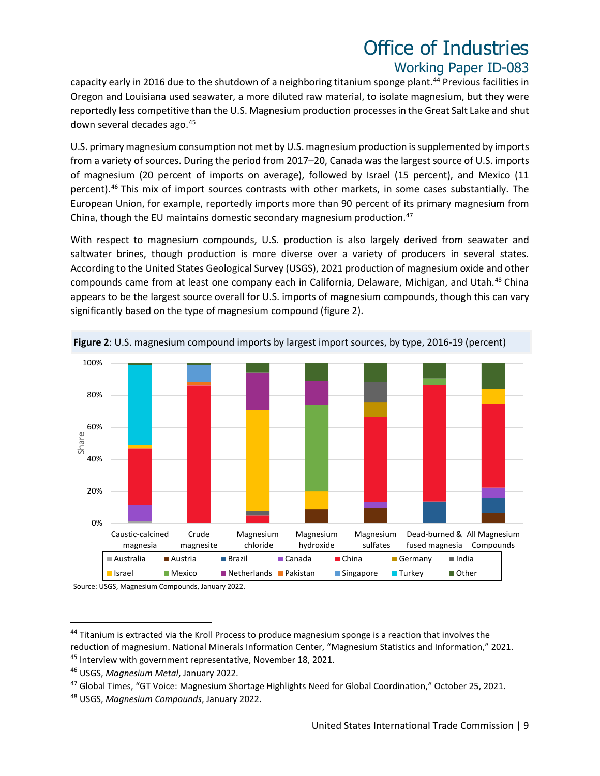capacity early in 2016 due to the shutdown of a neighboring titanium sponge plant.<sup>[44](#page-8-0)</sup> Previous facilities in Oregon and Louisiana used seawater, a more diluted raw material, to isolate magnesium, but they were reportedly less competitive than the U.S. Magnesium production processes in the Great Salt Lake and shut down several decades ago.[45](#page-8-1)

U.S. primary magnesium consumption not met by U.S. magnesium production is supplemented by imports from a variety of sources. During the period from 2017–20, Canada was the largest source of U.S. imports of magnesium (20 percent of imports on average), followed by Israel (15 percent), and Mexico (11 percent).<sup>[46](#page-8-2)</sup> This mix of import sources contrasts with other markets, in some cases substantially. The European Union, for example, reportedly imports more than 90 percent of its primary magnesium from China, though the EU maintains domestic secondary magnesium production.<sup>47</sup>

With respect to magnesium compounds, U.S. production is also largely derived from seawater and saltwater brines, though production is more diverse over a variety of producers in several states. According to the United States Geological Survey (USGS), 2021 production of magnesium oxide and other compounds came from at least one company each in California, Delaware, Michigan, and Utah.[48](#page-8-4) China appears to be the largest source overall for U.S. imports of magnesium compounds, though this can vary significantly based on the type of magnesium compound (figure 2).



**Figure 2**: U.S. magnesium compound imports by largest import sources, by type, 2016-19 (percent)

Source: USGS, Magnesium Compounds, January 2022.

<span id="page-8-0"></span><sup>&</sup>lt;sup>44</sup> Titanium is extracted via the Kroll Process to produce magnesium sponge is a reaction that involves the reduction of magnesium. National Minerals Information Center, "Magnesium Statistics and Information," 2021. <sup>45</sup> Interview with government representative, November 18, 2021.

<span id="page-8-2"></span><span id="page-8-1"></span><sup>46</sup> USGS, *Magnesium Metal*, January 2022.

<span id="page-8-3"></span><sup>47</sup> Global Times, "GT Voice: Magnesium Shortage Highlights Need for Global Coordination," October 25, 2021.

<span id="page-8-4"></span><sup>48</sup> USGS, *Magnesium Compounds*, January 2022.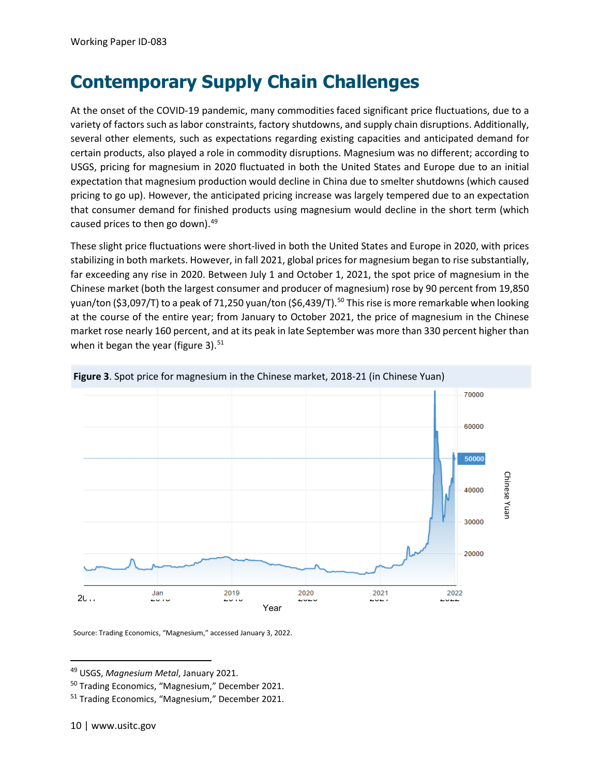## <span id="page-9-3"></span>**Contemporary Supply Chain Challenges**

At the onset of the COVID-19 pandemic, many commodities faced significant price fluctuations, due to a variety of factors such as labor constraints, factory shutdowns, and supply chain disruptions. Additionally, several other elements, such as expectations regarding existing capacities and anticipated demand for certain products, also played a role in commodity disruptions. Magnesium was no different; according to USGS, pricing for magnesium in 2020 fluctuated in both the United States and Europe due to an initial expectation that magnesium production would decline in China due to smelter shutdowns (which caused pricing to go up). However, the anticipated pricing increase was largely tempered due to an expectation that consumer demand for finished products using magnesium would decline in the short term (which caused prices to then go down).<sup>[49](#page-9-0)</sup>

These slight price fluctuations were short-lived in both the United States and Europe in 2020, with prices stabilizing in both markets. However, in fall 2021, global prices for magnesium began to rise substantially, far exceeding any rise in 2020. Between July 1 and October 1, 2021, the spot price of magnesium in the Chinese market (both the largest consumer and producer of magnesium) rose by 90 percent from 19,850 yuan/ton (\$3,097/T) to a peak of 71,250 yuan/ton (\$6,439/T).<sup>50</sup> This rise is more remarkable when looking at the course of the entire year; from January to October 2021, the price of magnesium in the Chinese market rose nearly 160 percent, and at its peak in late September was more than 330 percent higher than when it began the year (figure 3). $51$ 



**Figure 3**. Spot price for magnesium in the Chinese market, 2018-21 (in Chinese Yuan)

Source: Trading Economics, "Magnesium," accessed January 3, 2022.

<span id="page-9-0"></span><sup>49</sup> USGS, *Magnesium Metal*, January 2021.

<span id="page-9-1"></span><sup>50</sup> Trading Economics, "Magnesium," December 2021.

<span id="page-9-2"></span><sup>51</sup> Trading Economics, "Magnesium," December 2021.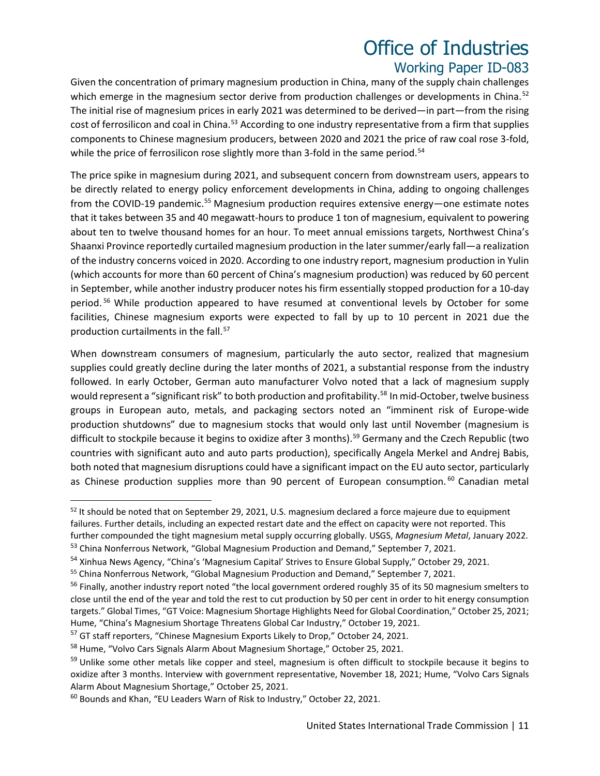Given the concentration of primary magnesium production in China, many of the supply chain challenges which emerge in the magnesium sector derive from production challenges or developments in China.<sup>[52](#page-10-0)</sup> The initial rise of magnesium prices in early 2021 was determined to be derived—in part—from the rising cost of ferrosilicon and coal in China.<sup>[53](#page-10-1)</sup> According to one industry representative from a firm that supplies components to Chinese magnesium producers, between 2020 and 2021 the price of raw coal rose 3-fold, while the price of ferrosilicon rose slightly more than 3-fold in the same period.<sup>54</sup>

The price spike in magnesium during 2021, and subsequent concern from downstream users, appears to be directly related to energy policy enforcement developments in China, adding to ongoing challenges from the COVID-19 pandemic.<sup>[55](#page-10-3)</sup> Magnesium production requires extensive energy—one estimate notes that it takes between 35 and 40 megawatt-hours to produce 1 ton of magnesium, equivalent to powering about ten to twelve thousand homes for an hour. To meet annual emissions targets, Northwest China's Shaanxi Province reportedly curtailed magnesium production in the later summer/early fall—a realization of the industry concerns voiced in 2020. According to one industry report, magnesium production in Yulin (which accounts for more than 60 percent of China's magnesium production) was reduced by 60 percent in September, while another industry producer notes his firm essentially stopped production for a 10-day period. [56](#page-10-4) While production appeared to have resumed at conventional levels by October for some facilities, Chinese magnesium exports were expected to fall by up to 10 percent in 2021 due the production curtailments in the fall.<sup>57</sup>

When downstream consumers of magnesium, particularly the auto sector, realized that magnesium supplies could greatly decline during the later months of 2021, a substantial response from the industry followed. In early October, German auto manufacturer Volvo noted that a lack of magnesium supply would represent a "significant risk" to both production and profitability.<sup>[58](#page-10-6)</sup> In mid-October, twelve business groups in European auto, metals, and packaging sectors noted an "imminent risk of Europe-wide production shutdowns" due to magnesium stocks that would only last until November (magnesium is difficult to stockpile because it begins to oxidize after 3 months).<sup>[59](#page-10-7)</sup> Germany and the Czech Republic (two countries with significant auto and auto parts production), specifically Angela Merkel and Andrej Babis, both noted that magnesium disruptions could have a significant impact on the EU auto sector, particularly as Chinese production supplies more than 90 percent of European consumption.<sup>[60](#page-10-8)</sup> Canadian metal

<span id="page-10-0"></span><sup>&</sup>lt;sup>52</sup> It should be noted that on September 29, 2021, U.S. magnesium declared a force majeure due to equipment failures. Further details, including an expected restart date and the effect on capacity were not reported. This further compounded the tight magnesium metal supply occurring globally. USGS, *Magnesium Metal*, January 2022.

<span id="page-10-1"></span><sup>&</sup>lt;sup>53</sup> China Nonferrous Network, "Global Magnesium Production and Demand," September 7, 2021.

<span id="page-10-2"></span><sup>&</sup>lt;sup>54</sup> Xinhua News Agency, "China's 'Magnesium Capital' Strives to Ensure Global Supply," October 29, 2021.

<span id="page-10-3"></span><sup>&</sup>lt;sup>55</sup> China Nonferrous Network, "Global Magnesium Production and Demand," September 7, 2021.

<span id="page-10-4"></span><sup>&</sup>lt;sup>56</sup> Finally, another industry report noted "the local government ordered roughly 35 of its 50 magnesium smelters to close until the end of the year and told the rest to cut production by 50 per cent in order to hit energy consumption targets." Global Times, "GT Voice: Magnesium Shortage Highlights Need for Global Coordination," October 25, 2021; Hume, "China's Magnesium Shortage Threatens Global Car Industry," October 19, 2021.

<span id="page-10-5"></span><sup>&</sup>lt;sup>57</sup> GT staff reporters, "Chinese Magnesium Exports Likely to Drop," October 24, 2021.

<span id="page-10-6"></span><sup>&</sup>lt;sup>58</sup> Hume, "Volvo Cars Signals Alarm About Magnesium Shortage," October 25, 2021.

<span id="page-10-7"></span><sup>&</sup>lt;sup>59</sup> Unlike some other metals like copper and steel, magnesium is often difficult to stockpile because it begins to oxidize after 3 months. Interview with government representative, November 18, 2021; Hume, "Volvo Cars Signals Alarm About Magnesium Shortage," October 25, 2021.

<span id="page-10-8"></span><sup>60</sup> Bounds and Khan, "EU Leaders Warn of Risk to Industry," October 22, 2021.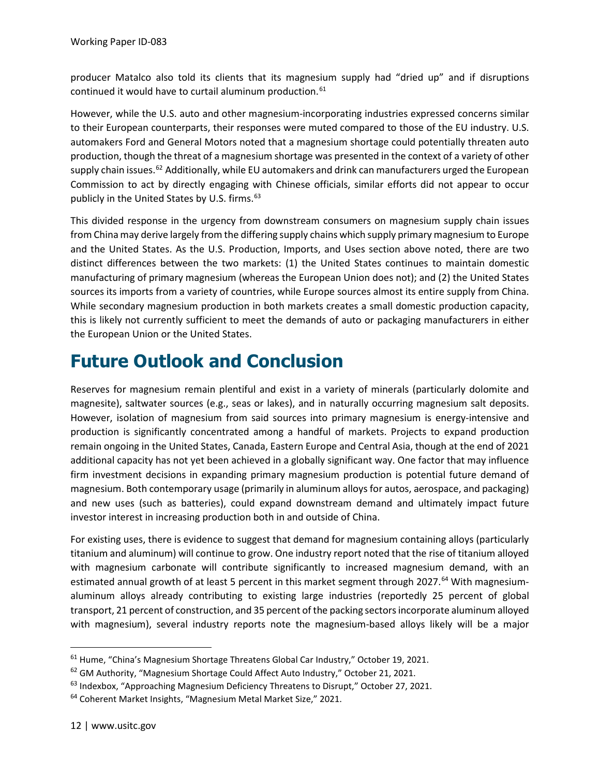producer Matalco also told its clients that its magnesium supply had "dried up" and if disruptions continued it would have to curtail aluminum production.<sup>61</sup>

However, while the U.S. auto and other magnesium-incorporating industries expressed concerns similar to their European counterparts, their responses were muted compared to those of the EU industry. U.S. automakers Ford and General Motors noted that a magnesium shortage could potentially threaten auto production, though the threat of a magnesium shortage was presented in the context of a variety of other supply chain issues.<sup>[62](#page-11-1)</sup> Additionally, while EU automakers and drink can manufacturers urged the European Commission to act by directly engaging with Chinese officials, similar efforts did not appear to occur publicly in the United States by U.S. firms.<sup>63</sup>

This divided response in the urgency from downstream consumers on magnesium supply chain issues from China may derive largely from the differing supply chains which supply primary magnesium to Europe and the United States. As the U.S. Production, Imports, and Uses section above noted, there are two distinct differences between the two markets: (1) the United States continues to maintain domestic manufacturing of primary magnesium (whereas the European Union does not); and (2) the United States sources its imports from a variety of countries, while Europe sources almost its entire supply from China. While secondary magnesium production in both markets creates a small domestic production capacity, this is likely not currently sufficient to meet the demands of auto or packaging manufacturers in either the European Union or the United States.

#### **Future Outlook and Conclusion**

Reserves for magnesium remain plentiful and exist in a variety of minerals (particularly dolomite and magnesite), saltwater sources (e.g., seas or lakes), and in naturally occurring magnesium salt deposits. However, isolation of magnesium from said sources into primary magnesium is energy-intensive and production is significantly concentrated among a handful of markets. Projects to expand production remain ongoing in the United States, Canada, Eastern Europe and Central Asia, though at the end of 2021 additional capacity has not yet been achieved in a globally significant way. One factor that may influence firm investment decisions in expanding primary magnesium production is potential future demand of magnesium. Both contemporary usage (primarily in aluminum alloys for autos, aerospace, and packaging) and new uses (such as batteries), could expand downstream demand and ultimately impact future investor interest in increasing production both in and outside of China.

For existing uses, there is evidence to suggest that demand for magnesium containing alloys (particularly titanium and aluminum) will continue to grow. One industry report noted that the rise of titanium alloyed with magnesium carbonate will contribute significantly to increased magnesium demand, with an estimated annual growth of at least 5 percent in this market segment through 2027.<sup>[64](#page-11-3)</sup> With magnesiumaluminum alloys already contributing to existing large industries (reportedly 25 percent of global transport, 21 percent of construction, and 35 percent of the packing sectors incorporate aluminum alloyed with magnesium), several industry reports note the magnesium-based alloys likely will be a major

<span id="page-11-0"></span><sup>61</sup> Hume, "China's Magnesium Shortage Threatens Global Car Industry," October 19, 2021.

<span id="page-11-1"></span><sup>62</sup> GM Authority, "Magnesium Shortage Could Affect Auto Industry," October 21, 2021.

<span id="page-11-2"></span> $63$  Indexbox, "Approaching Magnesium Deficiency Threatens to Disrupt," October 27, 2021.

<span id="page-11-3"></span><sup>&</sup>lt;sup>64</sup> Coherent Market Insights, "Magnesium Metal Market Size," 2021.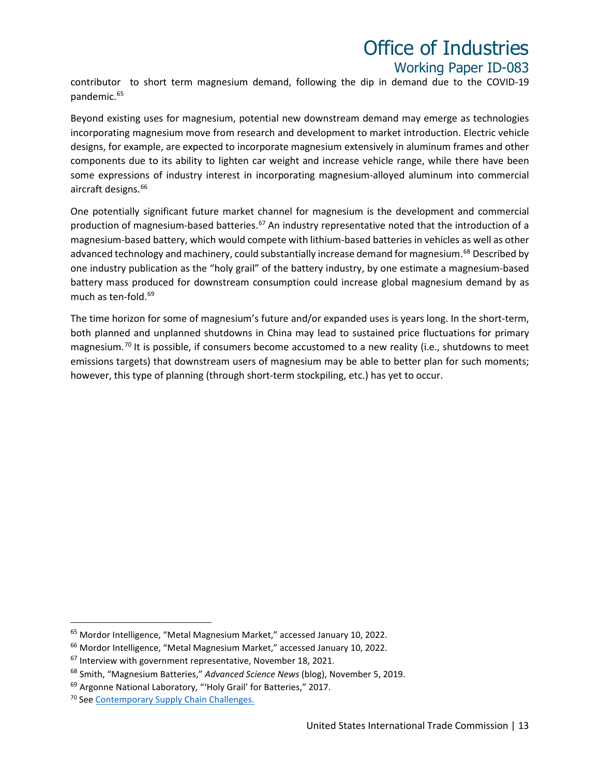contributor to short term magnesium demand, following the dip in demand due to the COVID-19 pandemic.<sup>[65](#page-12-0)</sup>

Beyond existing uses for magnesium, potential new downstream demand may emerge as technologies incorporating magnesium move from research and development to market introduction. Electric vehicle designs, for example, are expected to incorporate magnesium extensively in aluminum frames and other components due to its ability to lighten car weight and increase vehicle range, while there have been some expressions of industry interest in incorporating magnesium-alloyed aluminum into commercial aircraft designs. [66](#page-12-1)

One potentially significant future market channel for magnesium is the development and commercial production of magnesium-based batteries.<sup>[67](#page-12-2)</sup> An industry representative noted that the introduction of a magnesium-based battery, which would compete with lithium-based batteries in vehicles as well as other advanced technology and machinery, could substantially increase demand for magnesium.<sup>[68](#page-12-3)</sup> Described by one industry publication as the "holy grail" of the battery industry, by one estimate a magnesium-based battery mass produced for downstream consumption could increase global magnesium demand by as much as ten-fold.<sup>69</sup>

The time horizon for some of magnesium's future and/or expanded uses is years long. In the short-term, both planned and unplanned shutdowns in China may lead to sustained price fluctuations for primary magnesium.<sup>[70](#page-12-5)</sup> It is possible, if consumers become accustomed to a new reality (i.e., shutdowns to meet emissions targets) that downstream users of magnesium may be able to better plan for such moments; however, this type of planning (through short-term stockpiling, etc.) has yet to occur.

<span id="page-12-0"></span><sup>65</sup> Mordor Intelligence, "Metal Magnesium Market," accessed January 10, 2022.

<span id="page-12-1"></span><sup>66</sup> Mordor Intelligence, "Metal Magnesium Market," accessed January 10, 2022.

<span id="page-12-2"></span> $67$  Interview with government representative, November 18, 2021.

<span id="page-12-3"></span><sup>68</sup> Smith, "Magnesium Batteries," *Advanced Science News* (blog), November 5, 2019.

<span id="page-12-4"></span><sup>&</sup>lt;sup>69</sup> Argonne National Laboratory, "'Holy Grail' for Batteries," 2017.

<span id="page-12-5"></span><sup>&</sup>lt;sup>70</sup> Se[e Contemporary Supply Chain Challenges.](#page-9-3)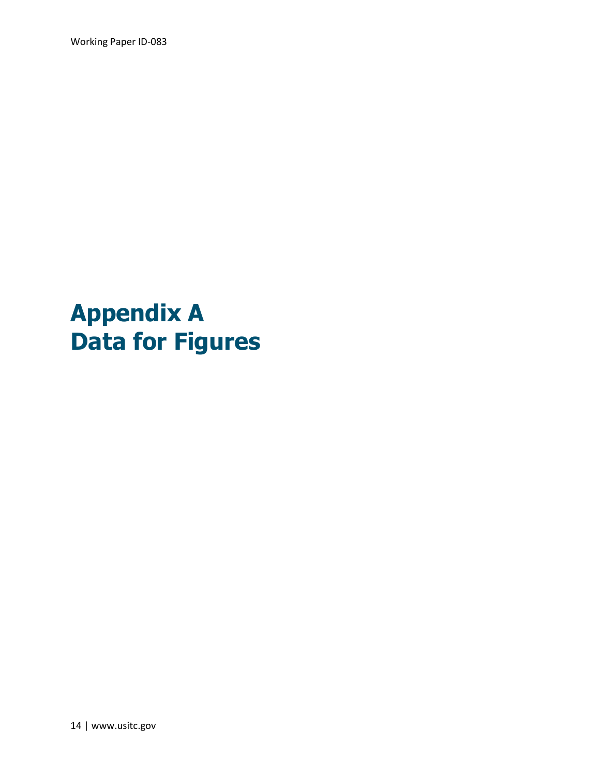Working Paper ID-083

# **Appendix A Data for Figures**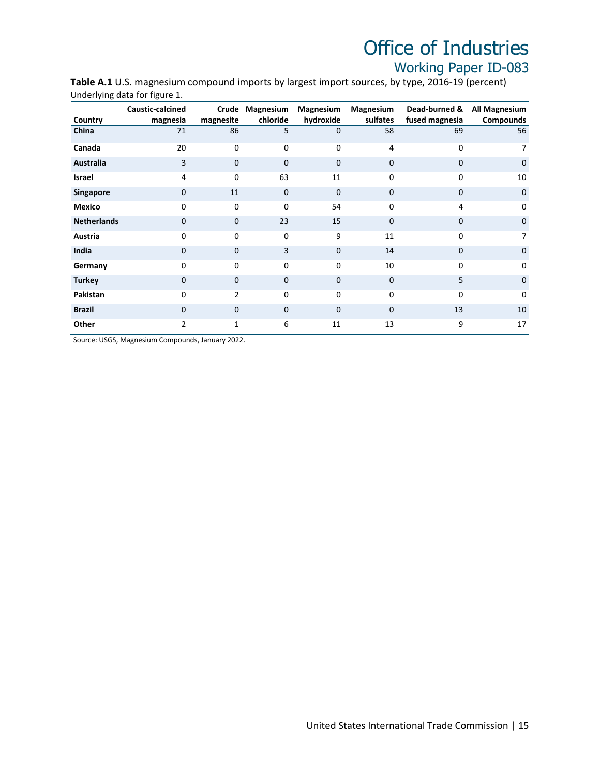**Table A.1** U.S. magnesium compound imports by largest import sources, by type, 2016-19 (percent) Underlying data for figure 1.

| Country            | Caustic-calcined<br>magnesia | Crude<br>magnesite | Magnesium<br>chloride | Magnesium<br>hydroxide | Magnesium<br>sulfates | Dead-burned &<br>fused magnesia | All Magnesium<br>Compounds |
|--------------------|------------------------------|--------------------|-----------------------|------------------------|-----------------------|---------------------------------|----------------------------|
| China              | 71                           | 86                 | 5                     | 0                      | 58                    | 69                              | 56                         |
| Canada             | 20                           | 0                  | 0                     | 0                      | 4                     | 0                               | 7                          |
| Australia          | 3                            | $\mathbf{0}$       | 0                     | $\mathbf 0$            | $\mathbf 0$           | $\mathbf 0$                     | $\mathbf 0$                |
| Israel             | 4                            | $\Omega$           | 63                    | 11                     | 0                     | 0                               | 10                         |
| <b>Singapore</b>   | 0                            | 11                 | $\Omega$              | 0                      | $\mathbf 0$           | $\mathbf 0$                     | $\mathbf 0$                |
| <b>Mexico</b>      | $\mathbf 0$                  | $\mathbf 0$        | 0                     | 54                     | 0                     | $\overline{4}$                  | $\Omega$                   |
| <b>Netherlands</b> | 0                            | $\Omega$           | 23                    | 15                     | $\mathbf 0$           | $\mathbf 0$                     | $\mathbf 0$                |
| Austria            | 0                            | 0                  | 0                     | 9                      | 11                    | 0                               | 7                          |
| India              | $\mathbf 0$                  | $\Omega$           | 3                     | $\Omega$               | 14                    | $\mathbf 0$                     | $\mathbf 0$                |
| Germany            | 0                            | $\Omega$           | 0                     | 0                      | 10                    | $\Omega$                        | $\Omega$                   |
| <b>Turkey</b>      | 0                            | $\mathbf{0}$       | 0                     | 0                      | 0                     | 5                               | $\mathbf 0$                |
| Pakistan           | 0                            | $\overline{2}$     | 0                     | $\Omega$               | 0                     | $\Omega$                        | $\mathbf 0$                |
| <b>Brazil</b>      | $\mathbf 0$                  | $\Omega$           | $\Omega$              | $\Omega$               | $\mathbf 0$           | 13                              | 10                         |
| Other              | $\overline{2}$               | 1                  | 6                     | 11                     | 13                    | 9                               | 17                         |

Source: USGS, Magnesium Compounds, January 2022.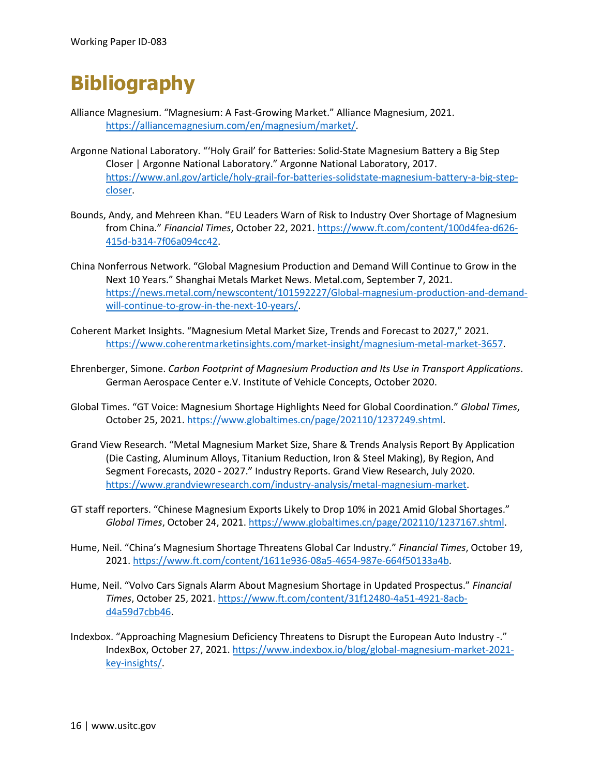## **Bibliography**

- Alliance Magnesium. "Magnesium: A Fast-Growing Market." Alliance Magnesium, 2021. [https://alliancemagnesium.com/en/magnesium/market/.](https://alliancemagnesium.com/en/magnesium/market/)
- Argonne National Laboratory. "'Holy Grail' for Batteries: Solid-State Magnesium Battery a Big Step Closer | Argonne National Laboratory." Argonne National Laboratory, 2017. [https://www.anl.gov/article/holy-grail-for-batteries-solidstate-magnesium-battery-a-big-step](https://www.anl.gov/article/holy-grail-for-batteries-solidstate-magnesium-battery-a-big-step-closer)[closer.](https://www.anl.gov/article/holy-grail-for-batteries-solidstate-magnesium-battery-a-big-step-closer)
- Bounds, Andy, and Mehreen Khan. "EU Leaders Warn of Risk to Industry Over Shortage of Magnesium from China." *Financial Times*, October 22, 2021. [https://www.ft.com/content/100d4fea-d626-](https://www.ft.com/content/100d4fea-d626-415d-b314-7f06a094cc42) [415d-b314-7f06a094cc42.](https://www.ft.com/content/100d4fea-d626-415d-b314-7f06a094cc42)
- China Nonferrous Network. "Global Magnesium Production and Demand Will Continue to Grow in the Next 10 Years." Shanghai Metals Market News. Metal.com, September 7, 2021. [https://news.metal.com/newscontent/101592227/Global-magnesium-production-and-demand](https://news.metal.com/newscontent/101592227/Global-magnesium-production-and-demand-will-continue-to-grow-in-the-next-10-years/)[will-continue-to-grow-in-the-next-10-years/.](https://news.metal.com/newscontent/101592227/Global-magnesium-production-and-demand-will-continue-to-grow-in-the-next-10-years/)
- Coherent Market Insights. "Magnesium Metal Market Size, Trends and Forecast to 2027," 2021. [https://www.coherentmarketinsights.com/market-insight/magnesium-metal-market-3657.](https://www.coherentmarketinsights.com/market-insight/magnesium-metal-market-3657)
- Ehrenberger, Simone. *Carbon Footprint of Magnesium Production and Its Use in Transport Applications*. German Aerospace Center e.V. Institute of Vehicle Concepts, October 2020.
- Global Times. "GT Voice: Magnesium Shortage Highlights Need for Global Coordination." *Global Times*, October 25, 2021. [https://www.globaltimes.cn/page/202110/1237249.shtml.](https://www.globaltimes.cn/page/202110/1237249.shtml)
- Grand View Research. "Metal Magnesium Market Size, Share & Trends Analysis Report By Application (Die Casting, Aluminum Alloys, Titanium Reduction, Iron & Steel Making), By Region, And Segment Forecasts, 2020 - 2027." Industry Reports. Grand View Research, July 2020. [https://www.grandviewresearch.com/industry-analysis/metal-magnesium-market.](https://www.grandviewresearch.com/industry-analysis/metal-magnesium-market)
- GT staff reporters. "Chinese Magnesium Exports Likely to Drop 10% in 2021 Amid Global Shortages." *Global Times*, October 24, 2021[. https://www.globaltimes.cn/page/202110/1237167.shtml.](https://www.globaltimes.cn/page/202110/1237167.shtml)
- Hume, Neil. "China's Magnesium Shortage Threatens Global Car Industry." *Financial Times*, October 19, 2021[. https://www.ft.com/content/1611e936-08a5-4654-987e-664f50133a4b.](https://www.ft.com/content/1611e936-08a5-4654-987e-664f50133a4b)
- Hume, Neil. "Volvo Cars Signals Alarm About Magnesium Shortage in Updated Prospectus." *Financial Times*, October 25, 2021. [https://www.ft.com/content/31f12480-4a51-4921-8acb](https://www.ft.com/content/31f12480-4a51-4921-8acb-d4a59d7cbb46)[d4a59d7cbb46.](https://www.ft.com/content/31f12480-4a51-4921-8acb-d4a59d7cbb46)
- Indexbox. "Approaching Magnesium Deficiency Threatens to Disrupt the European Auto Industry -." IndexBox, October 27, 2021. [https://www.indexbox.io/blog/global-magnesium-market-2021](https://www.indexbox.io/blog/global-magnesium-market-2021-key-insights/) [key-insights/.](https://www.indexbox.io/blog/global-magnesium-market-2021-key-insights/)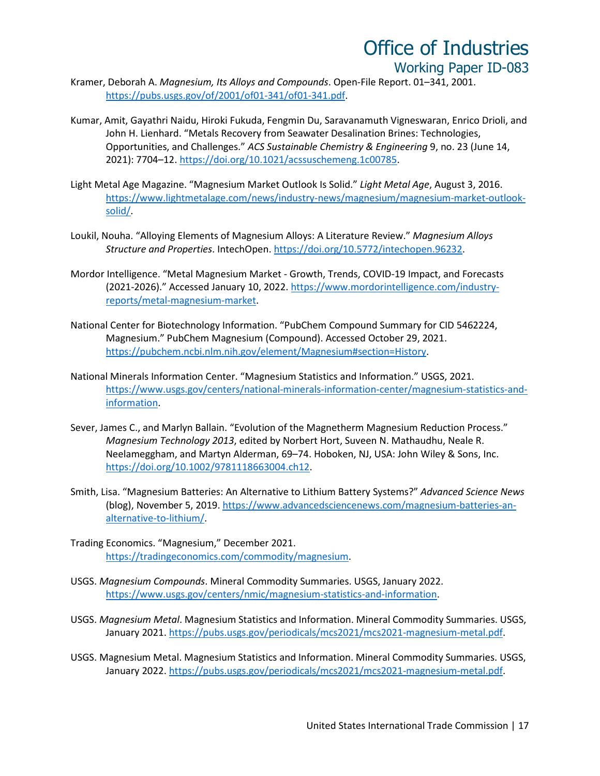- Kramer, Deborah A. *Magnesium, Its Alloys and Compounds*. Open-File Report. 01–341, 2001. [https://pubs.usgs.gov/of/2001/of01-341/of01-341.pdf.](https://pubs.usgs.gov/of/2001/of01-341/of01-341.pdf)
- Kumar, Amit, Gayathri Naidu, Hiroki Fukuda, Fengmin Du, Saravanamuth Vigneswaran, Enrico Drioli, and John H. Lienhard. "Metals Recovery from Seawater Desalination Brines: Technologies, Opportunities, and Challenges." *ACS Sustainable Chemistry & Engineering* 9, no. 23 (June 14, 2021): 7704–12. [https://doi.org/10.1021/acssuschemeng.1c00785.](https://doi.org/10.1021/acssuschemeng.1c00785)
- Light Metal Age Magazine. "Magnesium Market Outlook Is Solid." *Light Metal Age*, August 3, 2016. [https://www.lightmetalage.com/news/industry-news/magnesium/magnesium-market-outlook](https://www.lightmetalage.com/news/industry-news/magnesium/magnesium-market-outlook-solid/)[solid/.](https://www.lightmetalage.com/news/industry-news/magnesium/magnesium-market-outlook-solid/)
- Loukil, Nouha. "Alloying Elements of Magnesium Alloys: A Literature Review." *Magnesium Alloys Structure and Properties*. IntechOpen[. https://doi.org/10.5772/intechopen.96232.](https://doi.org/10.5772/intechopen.96232)
- Mordor Intelligence. "Metal Magnesium Market Growth, Trends, COVID-19 Impact, and Forecasts (2021-2026)." Accessed January 10, 2022. [https://www.mordorintelligence.com/industry](https://www.mordorintelligence.com/industry-reports/metal-magnesium-market)[reports/metal-magnesium-market.](https://www.mordorintelligence.com/industry-reports/metal-magnesium-market)
- National Center for Biotechnology Information. "PubChem Compound Summary for CID 5462224, Magnesium." PubChem Magnesium (Compound). Accessed October 29, 2021. [https://pubchem.ncbi.nlm.nih.gov/element/Magnesium#section=History.](https://pubchem.ncbi.nlm.nih.gov/element/Magnesium#section=History)
- National Minerals Information Center. "Magnesium Statistics and Information." USGS, 2021. [https://www.usgs.gov/centers/national-minerals-information-center/magnesium-statistics-and](https://www.usgs.gov/centers/national-minerals-information-center/magnesium-statistics-and-information)[information.](https://www.usgs.gov/centers/national-minerals-information-center/magnesium-statistics-and-information)
- Sever, James C., and Marlyn Ballain. "Evolution of the Magnetherm Magnesium Reduction Process." *Magnesium Technology 2013*, edited by Norbert Hort, Suveen N. Mathaudhu, Neale R. Neelameggham, and Martyn Alderman, 69–74. Hoboken, NJ, USA: John Wiley & Sons, Inc. [https://doi.org/10.1002/9781118663004.ch12.](https://doi.org/10.1002/9781118663004.ch12)
- Smith, Lisa. "Magnesium Batteries: An Alternative to Lithium Battery Systems?" *Advanced Science News* (blog), November 5, 2019. [https://www.advancedsciencenews.com/magnesium-batteries-an](https://www.advancedsciencenews.com/magnesium-batteries-an-alternative-to-lithium/)[alternative-to-lithium/.](https://www.advancedsciencenews.com/magnesium-batteries-an-alternative-to-lithium/)
- Trading Economics. "Magnesium," December 2021. [https://tradingeconomics.com/commodity/magnesium.](https://tradingeconomics.com/commodity/magnesium)
- USGS. *Magnesium Compounds*. Mineral Commodity Summaries. USGS, January 2022. [https://www.usgs.gov/centers/nmic/magnesium-statistics-and-information.](https://www.usgs.gov/centers/nmic/magnesium-statistics-and-information)
- USGS. *Magnesium Metal*. Magnesium Statistics and Information. Mineral Commodity Summaries. USGS, January 2021[. https://pubs.usgs.gov/periodicals/mcs2021/mcs2021-magnesium-metal.pdf.](https://pubs.usgs.gov/periodicals/mcs2021/mcs2021-magnesium-metal.pdf)
- USGS. Magnesium Metal. Magnesium Statistics and Information. Mineral Commodity Summaries. USGS, January 2022[. https://pubs.usgs.gov/periodicals/mcs2021/mcs2021-magnesium-metal.pdf.](https://pubs.usgs.gov/periodicals/mcs2021/mcs2021-magnesium-metal.pdf)